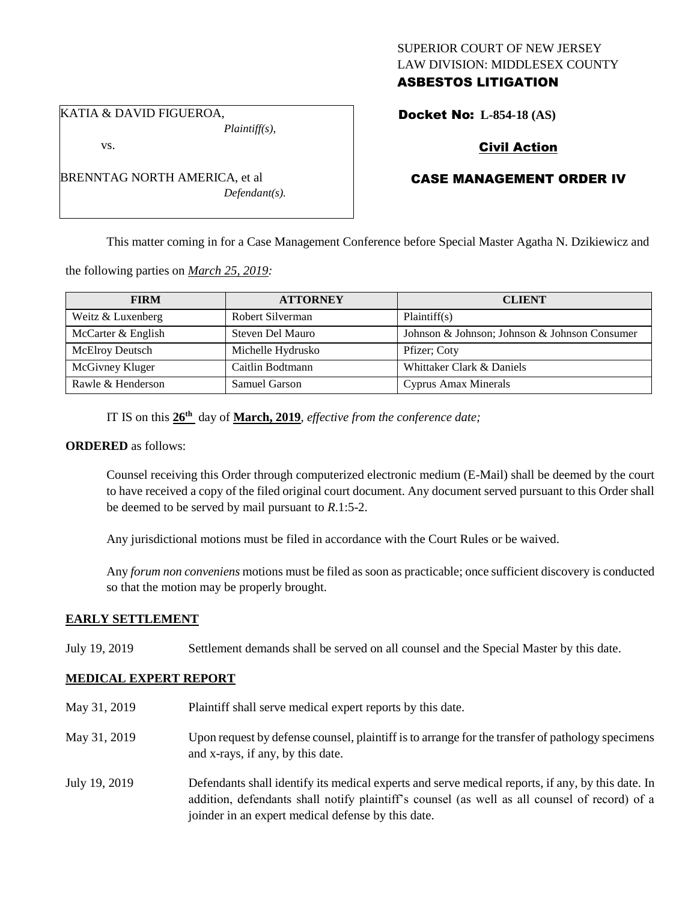# SUPERIOR COURT OF NEW JERSEY LAW DIVISION: MIDDLESEX COUNTY ASBESTOS LITIGATION

KATIA & DAVID FIGUEROA,

BRENNTAG NORTH AMERICA, et al

vs.

*Plaintiff(s),*

*Defendant(s).*

Docket No: **L-854-18 (AS)** 

# Civil Action

# CASE MANAGEMENT ORDER IV

This matter coming in for a Case Management Conference before Special Master Agatha N. Dzikiewicz and

the following parties on *March 25, 2019:*

| <b>FIRM</b>            | <b>ATTORNEY</b>   | <b>CLIENT</b>                                 |
|------------------------|-------------------|-----------------------------------------------|
| Weitz & Luxenberg      | Robert Silverman  | Plaintiff(s)                                  |
| McCarter & English     | Steven Del Mauro  | Johnson & Johnson; Johnson & Johnson Consumer |
| <b>McElroy Deutsch</b> | Michelle Hydrusko | Pfizer; Coty                                  |
| McGivney Kluger        | Caitlin Bodtmann  | Whittaker Clark & Daniels                     |
| Rawle & Henderson      | Samuel Garson     | Cyprus Amax Minerals                          |

IT IS on this **26th** day of **March, 2019**, *effective from the conference date;*

## **ORDERED** as follows:

Counsel receiving this Order through computerized electronic medium (E-Mail) shall be deemed by the court to have received a copy of the filed original court document. Any document served pursuant to this Order shall be deemed to be served by mail pursuant to *R*.1:5-2.

Any jurisdictional motions must be filed in accordance with the Court Rules or be waived.

Any *forum non conveniens* motions must be filed as soon as practicable; once sufficient discovery is conducted so that the motion may be properly brought.

# **EARLY SETTLEMENT**

July 19, 2019 Settlement demands shall be served on all counsel and the Special Master by this date.

# **MEDICAL EXPERT REPORT**

May 31, 2019 Plaintiff shall serve medical expert reports by this date. May 31, 2019 Upon request by defense counsel, plaintiff is to arrange for the transfer of pathology specimens and x-rays, if any, by this date. July 19, 2019 Defendants shall identify its medical experts and serve medical reports, if any, by this date. In addition, defendants shall notify plaintiff's counsel (as well as all counsel of record) of a

joinder in an expert medical defense by this date.